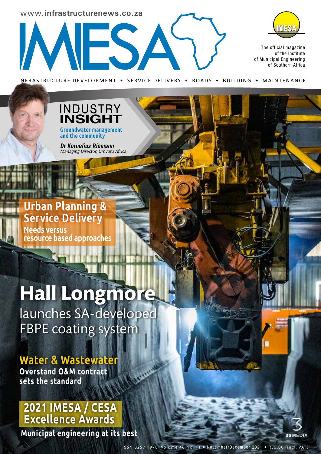www.**infrastructurenews.co.za**



The official magazine of the Institute of Municipal Engineering of Southern Africa

INFRASTRUCTURE DEVELOPMENT • SERVICE DELIVERY • ROADS • BUILDING • MAINTENANCE



MESAY

**Dr Kornelius Riemann**  Managing Director, Umvoto Africa

### **Urban Planning & Service Delivery Needs versus resource based approaches**

# **Hall Longmore**

launches SA-developed FBPE coating system

## **Water & Wastewater**

**Overstand O&M contract sets the standard**

## **2021 IMESA / CESA Excellence Awards**

**Municipal engineering at its best**

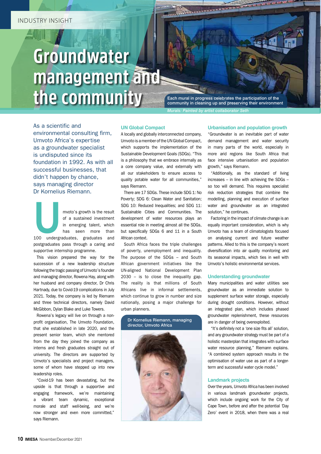## **Groundwater management and the community**

Each mural in progress celebrates the participation of the community in cleaning up and preserving their environment *Murals: Painted by artist collaborator Seth*

As a scientific and environmental consulting firm, Umvoto Africa's expertise as a groundwater specialist is undisputed since its foundation in 1992. As with all successful businesses, that didn't happen by chance, says managing director Dr Kornelius Riemann.

U : mvoto's growth is the result of a sustained investment in emerging talent, which has seen more than 100 undergraduates, graduates and postgraduates pass through a caring and supportive internship programme.

This vision prepared the way for the succession of a new leadership structure following the tragic passing of Umvoto's founder and managing director, Rowena Hay, along with her husband and company director, Dr Chris Hartnady, due to Covid-19 complications in July 2021. Today, the company is led by Riemann and three technical directors, namely David McGibbon, Dylan Blake and Luke Towers.

Rowena's legacy will live on through a nonprofit organisation, The Umvoto Foundation, that she established in late 2020, and the present senior team, which she mentored from the day they joined the company as interns and fresh graduates straight out of university. The directors are supported by Umvoto's specialists and project managers, some of whom have stepped up into new leadership roles.

"Covid-19 has been devastating, but the upside is that through a supportive and engaging framework, we're maintaining a vibrant team dynamic, exceptional morale and staff well-being, and we're now stronger and even more committed," says Riemann.

### **UN Global Compact**

A locally and globally interconnected company, Umvoto is a member of the UN Global Compact, which supports the implementation of the Sustainable Development Goals (SDGs). "This is a philosophy that we embrace internally as a core company value, and externally with all our stakeholders to ensure access to quality potable water for all communities," says Riemann.

There are 17 SDGs. These include SDG 1: No Poverty; SDG 6: Clean Water and Sanitation; SDG 10: Reduced Inequalities; and SDG 11: Sustainable Cities and Communities. The development of water resources plays an essential role in meeting almost all the SDGs, but specifically SDGs 6 and 11 in a South African context.

South Africa faces the triple challenges of poverty, unemployment and inequality. The purpose of the SDGs – and South African government initiatives like the UN-aligned National Development Plan  $2030 - is$  to close the inequality gap. The reality is that millions of South Africans live in informal settlements, which continue to grow in number and size nationally, posing a major challenge for urban planners.



### **Urbanisation and population growth**

"Groundwater is an inevitable part of water demand management and water security in many parts of the world, especially in more arid regions like South Africa that face intensive urbanisation and population growth," says Riemann.

"Additionally, as the standard of living increases – in line with achieving the SDGs – so too will demand. This requires specialist risk reduction strategies that combine the modelling, planning and execution of surface water and groundwater as an integrated solution," he continues.

Factoring in the impact of climate change is an equally important consideration, which is why Umvoto has a team of climatologists focused on analysing current and future weather patterns. Allied to this is the company's recent diversification into air quality monitoring and its seasonal impacts, which ties in well with Umvoto's holistic environmental services.

### **Understanding groundwater**

Many municipalities and water utilities see groundwater as an immediate solution to supplement surface water storage, especially during drought conditions. However, without an integrated plan, which includes phased groundwater replenishment, these resources are in danger of being overexploited.

"It's definitely not a 'one size fits all' solution, and any groundwater strategy must be part of a holistic masterplan that integrates with surface water resource planning." Riemann explains. "A combined system approach results in the optimisation of water use as part of a longerterm and successful water cycle model."

#### **Landmark projects**

Over the years, Umvoto Africa has been involved in various landmark groundwater projects, which include ongoing work for the City of Cape Town, before and after the potential 'Day Zero' event in 2018, when there was a real